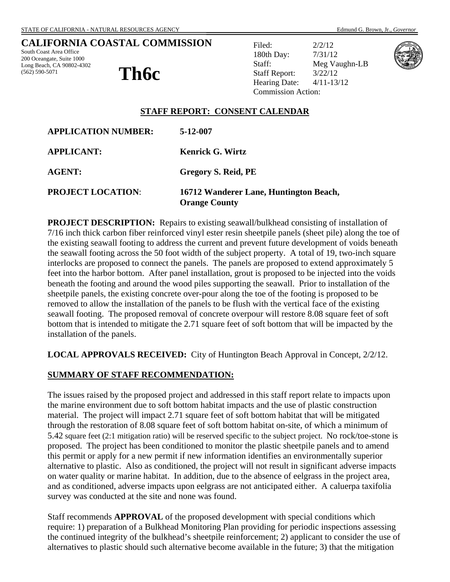South Coast Area Office 200 Oceangate, Suite 1000 Long Beach, CA 90802-4302 (562) 590-5071

# **Th6c**

Filed: 2/2/12 180th Day: 7/31/12 Staff: Meg Vaughn-LB Staff Report: 3/22/12 Hearing Date: 4/11-13/12 Commission Action:



## **STAFF REPORT: CONSENT CALENDAR**

| <b>APPLICATION NUMBER:</b> | 5-12-007                                                       |
|----------------------------|----------------------------------------------------------------|
| <b>APPLICANT:</b>          | <b>Kenrick G. Wirtz</b>                                        |
| <b>AGENT:</b>              | Gregory S. Reid, PE                                            |
| <b>PROJECT LOCATION:</b>   | 16712 Wanderer Lane, Huntington Beach,<br><b>Orange County</b> |

**PROJECT DESCRIPTION:** Repairs to existing seawall/bulkhead consisting of installation of 7/16 inch thick carbon fiber reinforced vinyl ester resin sheetpile panels (sheet pile) along the toe of the existing seawall footing to address the current and prevent future development of voids beneath the seawall footing across the 50 foot width of the subject property. A total of 19, two-inch square interlocks are proposed to connect the panels. The panels are proposed to extend approximately 5 feet into the harbor bottom. After panel installation, grout is proposed to be injected into the voids beneath the footing and around the wood piles supporting the seawall. Prior to installation of the sheetpile panels, the existing concrete over-pour along the toe of the footing is proposed to be removed to allow the installation of the panels to be flush with the vertical face of the existing seawall footing. The proposed removal of concrete overpour will restore 8.08 square feet of soft bottom that is intended to mitigate the 2.71 square feet of soft bottom that will be impacted by the installation of the panels.

**LOCAL APPROVALS RECEIVED:** City of Huntington Beach Approval in Concept, 2/2/12.

#### **SUMMARY OF STAFF RECOMMENDATION:**

The issues raised by the proposed project and addressed in this staff report relate to impacts upon the marine environment due to soft bottom habitat impacts and the use of plastic construction material. The project will impact 2.71 square feet of soft bottom habitat that will be mitigated through the restoration of 8.08 square feet of soft bottom habitat on-site, of which a minimum of 5.42 square feet (2:1 mitigation ratio) will be reserved specific to the subject project. No rock/toe-stone is proposed. The project has been conditioned to monitor the plastic sheetpile panels and to amend this permit or apply for a new permit if new information identifies an environmentally superior alternative to plastic. Also as conditioned, the project will not result in significant adverse impacts on water quality or marine habitat. In addition, due to the absence of eelgrass in the project area, and as conditioned, adverse impacts upon eelgrass are not anticipated either. A caluerpa taxifolia survey was conducted at the site and none was found.

Staff recommends **APPROVAL** of the proposed development with special conditions which require: 1) preparation of a Bulkhead Monitoring Plan providing for periodic inspections assessing the continued integrity of the bulkhead's sheetpile reinforcement; 2) applicant to consider the use of alternatives to plastic should such alternative become available in the future; 3) that the mitigation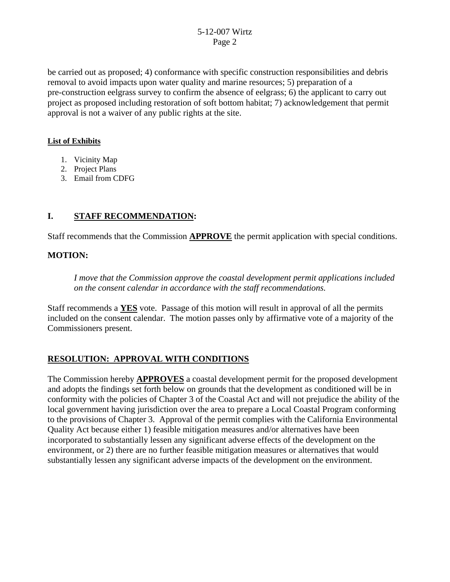## 5-12-007 Wirtz Page 2

be carried out as proposed; 4) conformance with specific construction responsibilities and debris removal to avoid impacts upon water quality and marine resources; 5) preparation of a pre-construction eelgrass survey to confirm the absence of eelgrass; 6) the applicant to carry out project as proposed including restoration of soft bottom habitat; 7) acknowledgement that permit approval is not a waiver of any public rights at the site.

## **List of Exhibits**

- 1. Vicinity Map
- 2. Project Plans
- 3. Email from CDFG

# **I. STAFF RECOMMENDATION:**

Staff recommends that the Commission **APPROVE** the permit application with special conditions.

## **MOTION:**

*I move that the Commission approve the coastal development permit applications included on the consent calendar in accordance with the staff recommendations.*

Staff recommends a **YES** vote. Passage of this motion will result in approval of all the permits included on the consent calendar. The motion passes only by affirmative vote of a majority of the Commissioners present.

# **RESOLUTION: APPROVAL WITH CONDITIONS**

The Commission hereby **APPROVES** a coastal development permit for the proposed development and adopts the findings set forth below on grounds that the development as conditioned will be in conformity with the policies of Chapter 3 of the Coastal Act and will not prejudice the ability of the local government having jurisdiction over the area to prepare a Local Coastal Program conforming to the provisions of Chapter 3. Approval of the permit complies with the California Environmental Quality Act because either 1) feasible mitigation measures and/or alternatives have been incorporated to substantially lessen any significant adverse effects of the development on the environment, or 2) there are no further feasible mitigation measures or alternatives that would substantially lessen any significant adverse impacts of the development on the environment.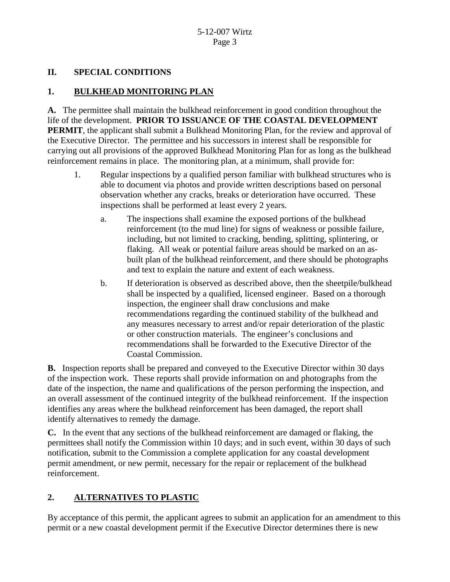# **II. SPECIAL CONDITIONS**

# **1. BULKHEAD MONITORING PLAN**

**A.** The permittee shall maintain the bulkhead reinforcement in good condition throughout the life of the development. **PRIOR TO ISSUANCE OF THE COASTAL DEVELOPMENT PERMIT**, the applicant shall submit a Bulkhead Monitoring Plan, for the review and approval of the Executive Director. The permittee and his successors in interest shall be responsible for carrying out all provisions of the approved Bulkhead Monitoring Plan for as long as the bulkhead reinforcement remains in place. The monitoring plan, at a minimum, shall provide for:

- 1. Regular inspections by a qualified person familiar with bulkhead structures who is able to document via photos and provide written descriptions based on personal observation whether any cracks, breaks or deterioration have occurred. These inspections shall be performed at least every 2 years.
	- a. The inspections shall examine the exposed portions of the bulkhead reinforcement (to the mud line) for signs of weakness or possible failure, including, but not limited to cracking, bending, splitting, splintering, or flaking. All weak or potential failure areas should be marked on an asbuilt plan of the bulkhead reinforcement, and there should be photographs and text to explain the nature and extent of each weakness.
	- b. If deterioration is observed as described above, then the sheetpile/bulkhead shall be inspected by a qualified, licensed engineer. Based on a thorough inspection, the engineer shall draw conclusions and make recommendations regarding the continued stability of the bulkhead and any measures necessary to arrest and/or repair deterioration of the plastic or other construction materials. The engineer's conclusions and recommendations shall be forwarded to the Executive Director of the Coastal Commission.

**B.** Inspection reports shall be prepared and conveyed to the Executive Director within 30 days of the inspection work. These reports shall provide information on and photographs from the date of the inspection, the name and qualifications of the person performing the inspection, and an overall assessment of the continued integrity of the bulkhead reinforcement. If the inspection identifies any areas where the bulkhead reinforcement has been damaged, the report shall identify alternatives to remedy the damage.

**C.** In the event that any sections of the bulkhead reinforcement are damaged or flaking, the permittees shall notify the Commission within 10 days; and in such event, within 30 days of such notification, submit to the Commission a complete application for any coastal development permit amendment, or new permit, necessary for the repair or replacement of the bulkhead reinforcement.

# **2. ALTERNATIVES TO PLASTIC**

By acceptance of this permit, the applicant agrees to submit an application for an amendment to this permit or a new coastal development permit if the Executive Director determines there is new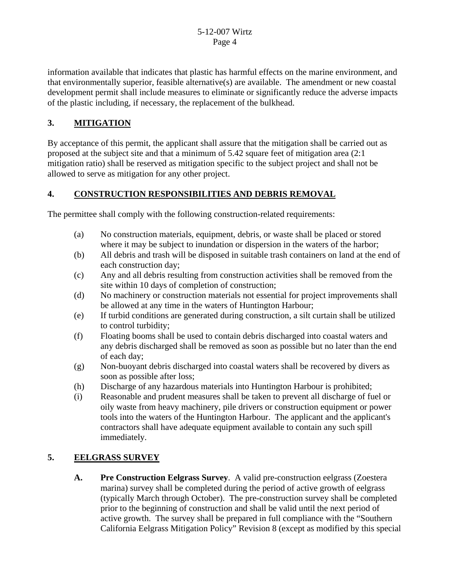information available that indicates that plastic has harmful effects on the marine environment, and that environmentally superior, feasible alternative(s) are available. The amendment or new coastal development permit shall include measures to eliminate or significantly reduce the adverse impacts of the plastic including, if necessary, the replacement of the bulkhead.

# **3. MITIGATION**

By acceptance of this permit, the applicant shall assure that the mitigation shall be carried out as proposed at the subject site and that a minimum of 5.42 square feet of mitigation area (2:1 mitigation ratio) shall be reserved as mitigation specific to the subject project and shall not be allowed to serve as mitigation for any other project.

# **4. CONSTRUCTION RESPONSIBILITIES AND DEBRIS REMOVAL**

The permittee shall comply with the following construction-related requirements:

- (a) No construction materials, equipment, debris, or waste shall be placed or stored where it may be subject to inundation or dispersion in the waters of the harbor;
- (b) All debris and trash will be disposed in suitable trash containers on land at the end of each construction day;
- (c) Any and all debris resulting from construction activities shall be removed from the site within 10 days of completion of construction;
- (d) No machinery or construction materials not essential for project improvements shall be allowed at any time in the waters of Huntington Harbour;
- (e) If turbid conditions are generated during construction, a silt curtain shall be utilized to control turbidity;
- (f) Floating booms shall be used to contain debris discharged into coastal waters and any debris discharged shall be removed as soon as possible but no later than the end of each day;
- (g) Non-buoyant debris discharged into coastal waters shall be recovered by divers as soon as possible after loss;
- (h) Discharge of any hazardous materials into Huntington Harbour is prohibited;
- (i) Reasonable and prudent measures shall be taken to prevent all discharge of fuel or oily waste from heavy machinery, pile drivers or construction equipment or power tools into the waters of the Huntington Harbour. The applicant and the applicant's contractors shall have adequate equipment available to contain any such spill immediately.

## **5. EELGRASS SURVEY**

**A. Pre Construction Eelgrass Survey**. A valid pre-construction eelgrass (Zoestera marina) survey shall be completed during the period of active growth of eelgrass (typically March through October). The pre-construction survey shall be completed prior to the beginning of construction and shall be valid until the next period of active growth. The survey shall be prepared in full compliance with the "Southern California Eelgrass Mitigation Policy" Revision 8 (except as modified by this special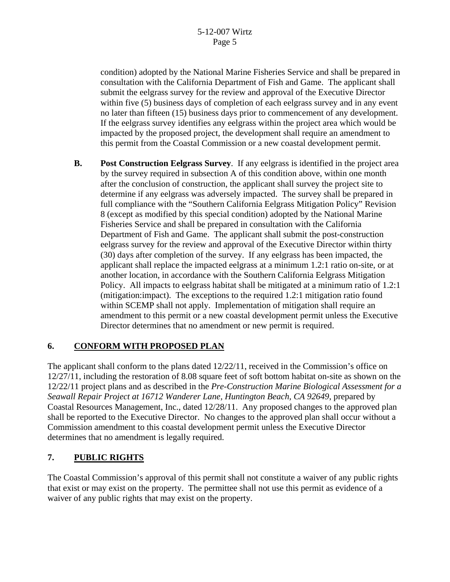condition) adopted by the National Marine Fisheries Service and shall be prepared in consultation with the California Department of Fish and Game. The applicant shall submit the eelgrass survey for the review and approval of the Executive Director within five (5) business days of completion of each eelgrass survey and in any event no later than fifteen (15) business days prior to commencement of any development. If the eelgrass survey identifies any eelgrass within the project area which would be impacted by the proposed project, the development shall require an amendment to this permit from the Coastal Commission or a new coastal development permit.

**B. Post Construction Eelgrass Survey**. If any eelgrass is identified in the project area by the survey required in subsection A of this condition above, within one month after the conclusion of construction, the applicant shall survey the project site to determine if any eelgrass was adversely impacted. The survey shall be prepared in full compliance with the "Southern California Eelgrass Mitigation Policy" Revision 8 (except as modified by this special condition) adopted by the National Marine Fisheries Service and shall be prepared in consultation with the California Department of Fish and Game. The applicant shall submit the post-construction eelgrass survey for the review and approval of the Executive Director within thirty (30) days after completion of the survey. If any eelgrass has been impacted, the applicant shall replace the impacted eelgrass at a minimum 1.2:1 ratio on-site, or at another location, in accordance with the Southern California Eelgrass Mitigation Policy. All impacts to eelgrass habitat shall be mitigated at a minimum ratio of 1.2:1 (mitigation:impact). The exceptions to the required 1.2:1 mitigation ratio found within SCEMP shall not apply. Implementation of mitigation shall require an amendment to this permit or a new coastal development permit unless the Executive Director determines that no amendment or new permit is required.

# **6. CONFORM WITH PROPOSED PLAN**

The applicant shall conform to the plans dated  $12/22/11$ , received in the Commission's office on 12/27/11, including the restoration of 8.08 square feet of soft bottom habitat on-site as shown on the 12/22/11 project plans and as described in the *Pre-Construction Marine Biological Assessment for a Seawall Repair Project at 16712 Wanderer Lane, Huntington Beach, CA 92649*, prepared by Coastal Resources Management, Inc., dated 12/28/11. Any proposed changes to the approved plan shall be reported to the Executive Director. No changes to the approved plan shall occur without a Commission amendment to this coastal development permit unless the Executive Director determines that no amendment is legally required.

# **7. PUBLIC RIGHTS**

The Coastal Commission's approval of this permit shall not constitute a waiver of any public rights that exist or may exist on the property. The permittee shall not use this permit as evidence of a waiver of any public rights that may exist on the property.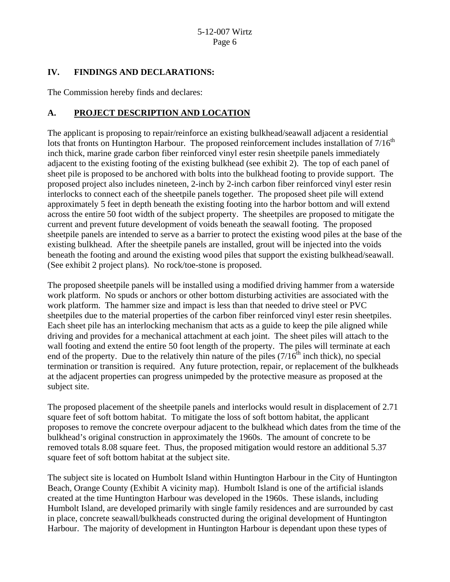# **IV. FINDINGS AND DECLARATIONS:**

The Commission hereby finds and declares:

# **A. PROJECT DESCRIPTION AND LOCATION**

The applicant is proposing to repair/reinforce an existing bulkhead/seawall adjacent a residential lots that fronts on Huntington Harbour. The proposed reinforcement includes installation of  $7/16<sup>th</sup>$ inch thick, marine grade carbon fiber reinforced vinyl ester resin sheetpile panels immediately adjacent to the existing footing of the existing bulkhead (see exhibit 2). The top of each panel of sheet pile is proposed to be anchored with bolts into the bulkhead footing to provide support. The proposed project also includes nineteen, 2-inch by 2-inch carbon fiber reinforced vinyl ester resin interlocks to connect each of the sheetpile panels together. The proposed sheet pile will extend approximately 5 feet in depth beneath the existing footing into the harbor bottom and will extend across the entire 50 foot width of the subject property. The sheetpiles are proposed to mitigate the current and prevent future development of voids beneath the seawall footing. The proposed sheetpile panels are intended to serve as a barrier to protect the existing wood piles at the base of the existing bulkhead. After the sheetpile panels are installed, grout will be injected into the voids beneath the footing and around the existing wood piles that support the existing bulkhead/seawall. (See exhibit 2 project plans). No rock/toe-stone is proposed.

The proposed sheetpile panels will be installed using a modified driving hammer from a waterside work platform. No spuds or anchors or other bottom disturbing activities are associated with the work platform. The hammer size and impact is less than that needed to drive steel or PVC sheetpiles due to the material properties of the carbon fiber reinforced vinyl ester resin sheetpiles. Each sheet pile has an interlocking mechanism that acts as a guide to keep the pile aligned while driving and provides for a mechanical attachment at each joint. The sheet piles will attach to the wall footing and extend the entire 50 foot length of the property. The piles will terminate at each end of the property. Due to the relatively thin nature of the piles  $(7/16<sup>th</sup>$  inch thick), no special termination or transition is required. Any future protection, repair, or replacement of the bulkheads at the adjacent properties can progress unimpeded by the protective measure as proposed at the subject site.

The proposed placement of the sheetpile panels and interlocks would result in displacement of 2.71 square feet of soft bottom habitat. To mitigate the loss of soft bottom habitat, the applicant proposes to remove the concrete overpour adjacent to the bulkhead which dates from the time of the bulkhead's original construction in approximately the 1960s. The amount of concrete to be removed totals 8.08 square feet. Thus, the proposed mitigation would restore an additional 5.37 square feet of soft bottom habitat at the subject site.

The subject site is located on Humbolt Island within Huntington Harbour in the City of Huntington Beach, Orange County (Exhibit A vicinity map). Humbolt Island is one of the artificial islands created at the time Huntington Harbour was developed in the 1960s. These islands, including Humbolt Island, are developed primarily with single family residences and are surrounded by cast in place, concrete seawall/bulkheads constructed during the original development of Huntington Harbour. The majority of development in Huntington Harbour is dependant upon these types of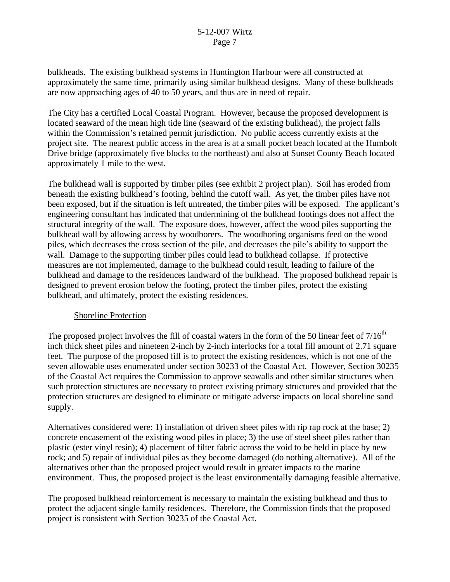bulkheads. The existing bulkhead systems in Huntington Harbour were all constructed at approximately the same time, primarily using similar bulkhead designs. Many of these bulkheads are now approaching ages of 40 to 50 years, and thus are in need of repair.

The City has a certified Local Coastal Program. However, because the proposed development is located seaward of the mean high tide line (seaward of the existing bulkhead), the project falls within the Commission's retained permit jurisdiction. No public access currently exists at the project site. The nearest public access in the area is at a small pocket beach located at the Humbolt Drive bridge (approximately five blocks to the northeast) and also at Sunset County Beach located approximately 1 mile to the west.

The bulkhead wall is supported by timber piles (see exhibit 2 project plan). Soil has eroded from beneath the existing bulkhead's footing, behind the cutoff wall. As yet, the timber piles have not been exposed, but if the situation is left untreated, the timber piles will be exposed. The applicant's engineering consultant has indicated that undermining of the bulkhead footings does not affect the structural integrity of the wall. The exposure does, however, affect the wood piles supporting the bulkhead wall by allowing access by woodborers. The woodboring organisms feed on the wood piles, which decreases the cross section of the pile, and decreases the pile's ability to support the wall. Damage to the supporting timber piles could lead to bulkhead collapse. If protective measures are not implemented, damage to the bulkhead could result, leading to failure of the bulkhead and damage to the residences landward of the bulkhead. The proposed bulkhead repair is designed to prevent erosion below the footing, protect the timber piles, protect the existing bulkhead, and ultimately, protect the existing residences.

#### Shoreline Protection

The proposed project involves the fill of coastal waters in the form of the 50 linear feet of  $7/16<sup>th</sup>$ inch thick sheet piles and nineteen 2-inch by 2-inch interlocks for a total fill amount of 2.71 square feet. The purpose of the proposed fill is to protect the existing residences, which is not one of the seven allowable uses enumerated under section 30233 of the Coastal Act. However, Section 30235 of the Coastal Act requires the Commission to approve seawalls and other similar structures when such protection structures are necessary to protect existing primary structures and provided that the protection structures are designed to eliminate or mitigate adverse impacts on local shoreline sand supply.

Alternatives considered were: 1) installation of driven sheet piles with rip rap rock at the base; 2) concrete encasement of the existing wood piles in place; 3) the use of steel sheet piles rather than plastic (ester vinyl resin); 4) placement of filter fabric across the void to be held in place by new rock; and 5) repair of individual piles as they become damaged (do nothing alternative). All of the alternatives other than the proposed project would result in greater impacts to the marine environment. Thus, the proposed project is the least environmentally damaging feasible alternative.

The proposed bulkhead reinforcement is necessary to maintain the existing bulkhead and thus to protect the adjacent single family residences. Therefore, the Commission finds that the proposed project is consistent with Section 30235 of the Coastal Act.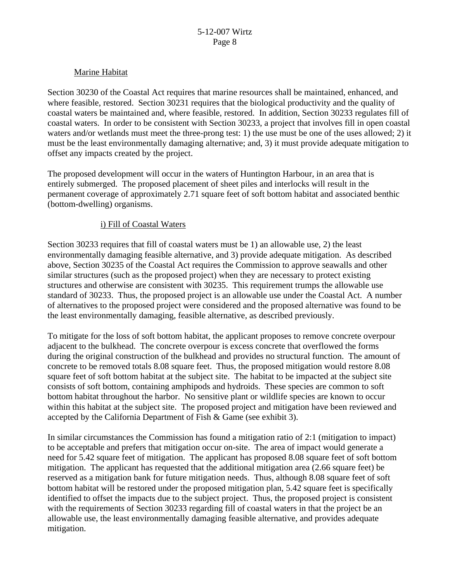#### Marine Habitat

Section 30230 of the Coastal Act requires that marine resources shall be maintained, enhanced, and where feasible, restored. Section 30231 requires that the biological productivity and the quality of coastal waters be maintained and, where feasible, restored. In addition, Section 30233 regulates fill of coastal waters. In order to be consistent with Section 30233, a project that involves fill in open coastal waters and/or wetlands must meet the three-prong test: 1) the use must be one of the uses allowed; 2) it must be the least environmentally damaging alternative; and, 3) it must provide adequate mitigation to offset any impacts created by the project.

The proposed development will occur in the waters of Huntington Harbour, in an area that is entirely submerged. The proposed placement of sheet piles and interlocks will result in the permanent coverage of approximately 2.71 square feet of soft bottom habitat and associated benthic (bottom-dwelling) organisms.

## i) Fill of Coastal Waters

Section 30233 requires that fill of coastal waters must be 1) an allowable use, 2) the least environmentally damaging feasible alternative, and 3) provide adequate mitigation. As described above, Section 30235 of the Coastal Act requires the Commission to approve seawalls and other similar structures (such as the proposed project) when they are necessary to protect existing structures and otherwise are consistent with 30235. This requirement trumps the allowable use standard of 30233. Thus, the proposed project is an allowable use under the Coastal Act. A number of alternatives to the proposed project were considered and the proposed alternative was found to be the least environmentally damaging, feasible alternative, as described previously.

To mitigate for the loss of soft bottom habitat, the applicant proposes to remove concrete overpour adjacent to the bulkhead. The concrete overpour is excess concrete that overflowed the forms during the original construction of the bulkhead and provides no structural function. The amount of concrete to be removed totals 8.08 square feet. Thus, the proposed mitigation would restore 8.08 square feet of soft bottom habitat at the subject site. The habitat to be impacted at the subject site consists of soft bottom, containing amphipods and hydroids. These species are common to soft bottom habitat throughout the harbor. No sensitive plant or wildlife species are known to occur within this habitat at the subject site. The proposed project and mitigation have been reviewed and accepted by the California Department of Fish & Game (see exhibit 3).

In similar circumstances the Commission has found a mitigation ratio of 2:1 (mitigation to impact) to be acceptable and prefers that mitigation occur on-site. The area of impact would generate a need for 5.42 square feet of mitigation. The applicant has proposed 8.08 square feet of soft bottom mitigation. The applicant has requested that the additional mitigation area (2.66 square feet) be reserved as a mitigation bank for future mitigation needs. Thus, although 8.08 square feet of soft bottom habitat will be restored under the proposed mitigation plan, 5.42 square feet is specifically identified to offset the impacts due to the subject project. Thus, the proposed project is consistent with the requirements of Section 30233 regarding fill of coastal waters in that the project be an allowable use, the least environmentally damaging feasible alternative, and provides adequate mitigation.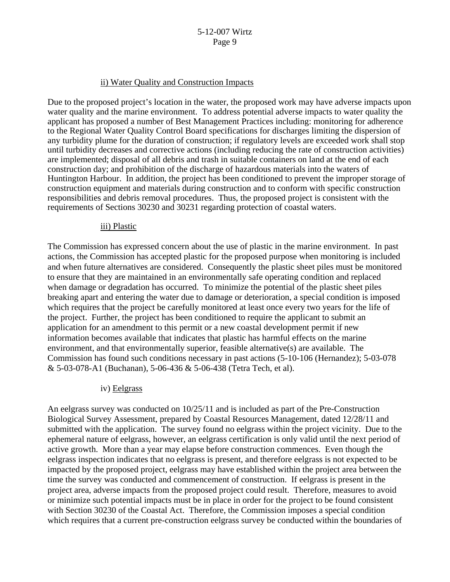## 5-12-007 Wirtz Page 9

## ii) Water Quality and Construction Impacts

Due to the proposed project's location in the water, the proposed work may have adverse impacts upon water quality and the marine environment. To address potential adverse impacts to water quality the applicant has proposed a number of Best Management Practices including: monitoring for adherence to the Regional Water Quality Control Board specifications for discharges limiting the dispersion of any turbidity plume for the duration of construction; if regulatory levels are exceeded work shall stop until turbidity decreases and corrective actions (including reducing the rate of construction activities) are implemented; disposal of all debris and trash in suitable containers on land at the end of each construction day; and prohibition of the discharge of hazardous materials into the waters of Huntington Harbour. In addition, the project has been conditioned to prevent the improper storage of construction equipment and materials during construction and to conform with specific construction responsibilities and debris removal procedures. Thus, the proposed project is consistent with the requirements of Sections 30230 and 30231 regarding protection of coastal waters.

#### iii) Plastic

The Commission has expressed concern about the use of plastic in the marine environment. In past actions, the Commission has accepted plastic for the proposed purpose when monitoring is included and when future alternatives are considered. Consequently the plastic sheet piles must be monitored to ensure that they are maintained in an environmentally safe operating condition and replaced when damage or degradation has occurred. To minimize the potential of the plastic sheet piles breaking apart and entering the water due to damage or deterioration, a special condition is imposed which requires that the project be carefully monitored at least once every two years for the life of the project. Further, the project has been conditioned to require the applicant to submit an application for an amendment to this permit or a new coastal development permit if new information becomes available that indicates that plastic has harmful effects on the marine environment, and that environmentally superior, feasible alternative(s) are available. The Commission has found such conditions necessary in past actions (5-10-106 (Hernandez); 5-03-078 & 5-03-078-A1 (Buchanan), 5-06-436 & 5-06-438 (Tetra Tech, et al).

#### iv) Eelgrass

An eelgrass survey was conducted on  $10/25/11$  and is included as part of the Pre-Construction Biological Survey Assessment, prepared by Coastal Resources Management, dated 12/28/11 and submitted with the application. The survey found no eelgrass within the project vicinity. Due to the ephemeral nature of eelgrass, however, an eelgrass certification is only valid until the next period of active growth. More than a year may elapse before construction commences. Even though the eelgrass inspection indicates that no eelgrass is present, and therefore eelgrass is not expected to be impacted by the proposed project, eelgrass may have established within the project area between the time the survey was conducted and commencement of construction. If eelgrass is present in the project area, adverse impacts from the proposed project could result. Therefore, measures to avoid or minimize such potential impacts must be in place in order for the project to be found consistent with Section 30230 of the Coastal Act. Therefore, the Commission imposes a special condition which requires that a current pre-construction eelgrass survey be conducted within the boundaries of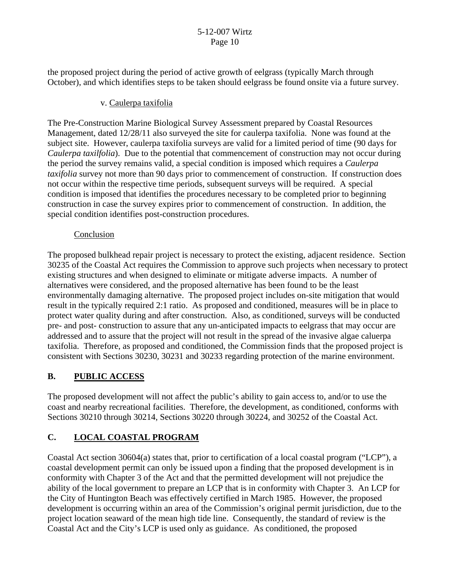the proposed project during the period of active growth of eelgrass (typically March through October), and which identifies steps to be taken should eelgrass be found onsite via a future survey.

# v. Caulerpa taxifolia

The Pre-Construction Marine Biological Survey Assessment prepared by Coastal Resources Management, dated 12/28/11 also surveyed the site for caulerpa taxifolia. None was found at the subject site. However, caulerpa taxifolia surveys are valid for a limited period of time (90 days for *Caulerpa taxilfolia*). Due to the potential that commencement of construction may not occur during the period the survey remains valid, a special condition is imposed which requires a *Caulerpa taxifolia* survey not more than 90 days prior to commencement of construction. If construction does not occur within the respective time periods, subsequent surveys will be required. A special condition is imposed that identifies the procedures necessary to be completed prior to beginning construction in case the survey expires prior to commencement of construction. In addition, the special condition identifies post-construction procedures.

## Conclusion

The proposed bulkhead repair project is necessary to protect the existing, adjacent residence. Section 30235 of the Coastal Act requires the Commission to approve such projects when necessary to protect existing structures and when designed to eliminate or mitigate adverse impacts. A number of alternatives were considered, and the proposed alternative has been found to be the least environmentally damaging alternative. The proposed project includes on-site mitigation that would result in the typically required 2:1 ratio. As proposed and conditioned, measures will be in place to protect water quality during and after construction. Also, as conditioned, surveys will be conducted pre- and post- construction to assure that any un-anticipated impacts to eelgrass that may occur are addressed and to assure that the project will not result in the spread of the invasive algae caluerpa taxifolia. Therefore, as proposed and conditioned, the Commission finds that the proposed project is consistent with Sections 30230, 30231 and 30233 regarding protection of the marine environment.

# **B. PUBLIC ACCESS**

The proposed development will not affect the public's ability to gain access to, and/or to use the coast and nearby recreational facilities. Therefore, the development, as conditioned, conforms with Sections 30210 through 30214, Sections 30220 through 30224, and 30252 of the Coastal Act.

# **C. LOCAL COASTAL PROGRAM**

Coastal Act section 30604(a) states that, prior to certification of a local coastal program ("LCP"), a coastal development permit can only be issued upon a finding that the proposed development is in conformity with Chapter 3 of the Act and that the permitted development will not prejudice the ability of the local government to prepare an LCP that is in conformity with Chapter 3. An LCP for the City of Huntington Beach was effectively certified in March 1985. However, the proposed development is occurring within an area of the Commission's original permit jurisdiction, due to the project location seaward of the mean high tide line. Consequently, the standard of review is the Coastal Act and the City's LCP is used only as guidance. As conditioned, the proposed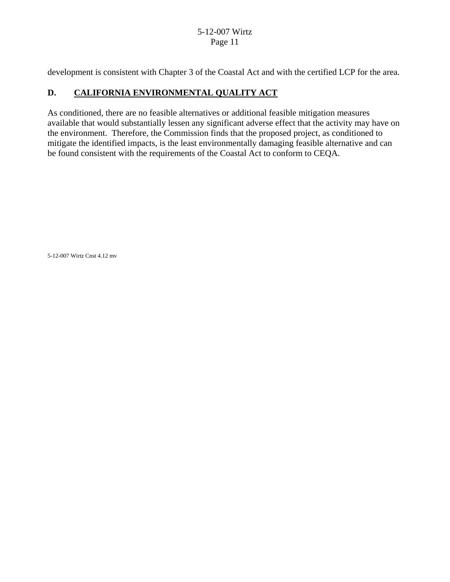## 5-12-007 Wirtz Page 11

development is consistent with Chapter 3 of the Coastal Act and with the certified LCP for the area.

# **D. CALIFORNIA ENVIRONMENTAL QUALITY ACT**

As conditioned, there are no feasible alternatives or additional feasible mitigation measures available that would substantially lessen any significant adverse effect that the activity may have on the environment. Therefore, the Commission finds that the proposed project, as conditioned to mitigate the identified impacts, is the least environmentally damaging feasible alternative and can be found consistent with the requirements of the Coastal Act to conform to CEQA.

5-12-007 Wirtz Cnst 4.12 mv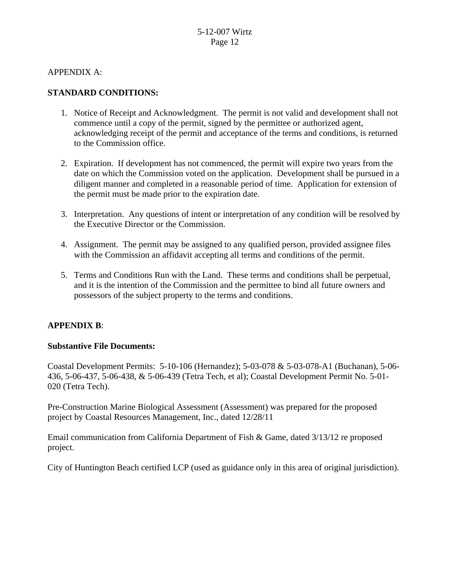APPENDIX A:

# **STANDARD CONDITIONS:**

- 1. Notice of Receipt and Acknowledgment. The permit is not valid and development shall not commence until a copy of the permit, signed by the permittee or authorized agent, acknowledging receipt of the permit and acceptance of the terms and conditions, is returned to the Commission office.
- 2. Expiration. If development has not commenced, the permit will expire two years from the date on which the Commission voted on the application. Development shall be pursued in a diligent manner and completed in a reasonable period of time. Application for extension of the permit must be made prior to the expiration date.
- 3. Interpretation. Any questions of intent or interpretation of any condition will be resolved by the Executive Director or the Commission.
- 4. Assignment. The permit may be assigned to any qualified person, provided assignee files with the Commission an affidavit accepting all terms and conditions of the permit.
- 5. Terms and Conditions Run with the Land. These terms and conditions shall be perpetual, and it is the intention of the Commission and the permittee to bind all future owners and possessors of the subject property to the terms and conditions.

## **APPENDIX B**:

## **Substantive File Documents:**

Coastal Development Permits: 5-10-106 (Hernandez); 5-03-078 & 5-03-078-A1 (Buchanan), 5-06- 436, 5-06-437, 5-06-438, & 5-06-439 (Tetra Tech, et al); Coastal Development Permit No. 5-01- 020 (Tetra Tech).

Pre-Construction Marine Biological Assessment (Assessment) was prepared for the proposed project by Coastal Resources Management, Inc., dated 12/28/11

Email communication from California Department of Fish & Game, dated 3/13/12 re proposed project.

City of Huntington Beach certified LCP (used as guidance only in this area of original jurisdiction).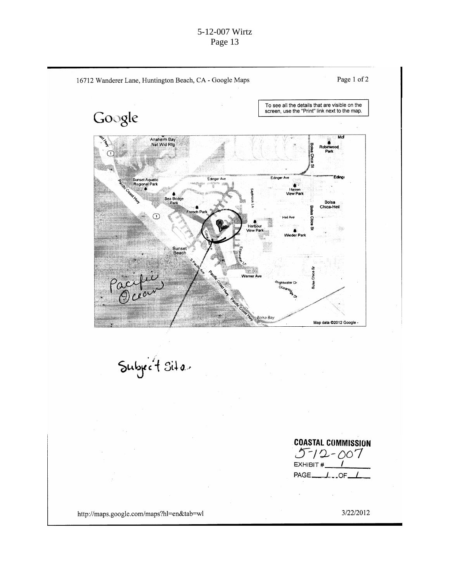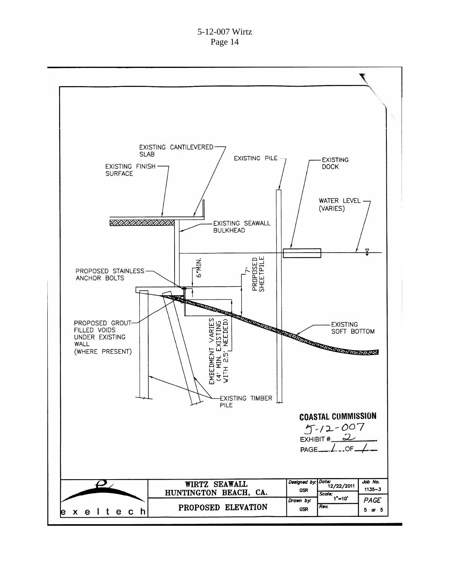